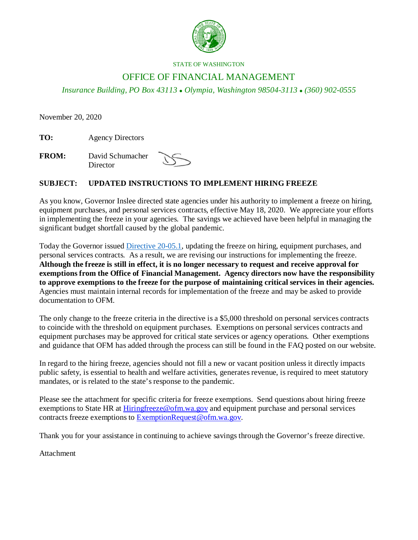

#### STATE OF WASHINGTON

# OFFICE OF FINANCIAL MANAGEMENT

*Insurance Building, PO Box 43113 Olympia, Washington 98504-3113 (360) 902-0555*

November 20, 2020

**TO:** Agency Directors

**FROM:** David Schumacher **Director** 

## **SUBJECT: UPDATED INSTRUCTIONS TO IMPLEMENT HIRING FREEZE**

As you know, Governor Inslee directed state agencies under his authority to implement a freeze on hiring, equipment purchases, and personal services contracts, effective May 18, 2020. We appreciate your efforts in implementing the freeze in your agencies. The savings we achieved have been helpful in managing the significant budget shortfall caused by the global pandemic.

Today the Governor issued [Directive 20-05.1,](https://www.governor.wa.gov/sites/default/files/directive/20-05.1%20-%20Hiring%20Freeze%20%28final%29.pdf) updating the freeze on hiring, equipment purchases, and personal services contracts. As a result, we are revising our instructions for implementing the freeze. **Although the freeze is still in effect, it is no longer necessary to request and receive approval for exemptions from the Office of Financial Management. Agency directors now have the responsibility to approve exemptions to the freeze for the purpose of maintaining critical services in their agencies.** Agencies must maintain internal records for implementation of the freeze and may be asked to provide documentation to OFM.

The only change to the freeze criteria in the directive is a \$5,000 threshold on personal services contracts to coincide with the threshold on equipment purchases. Exemptions on personal services contracts and equipment purchases may be approved for critical state services or agency operations. Other exemptions and guidance that OFM has added through the process can still be found in the FAQ posted on our website.

In regard to the hiring freeze, agencies should not fill a new or vacant position unless it directly impacts public safety, is essential to health and welfare activities, generates revenue, is required to meet statutory mandates, or is related to the state's response to the pandemic.

Please see the attachment for specific criteria for freeze exemptions. Send questions about hiring freeze exemptions to State HR at [Hiringfreeze@ofm.wa.gov](mailto:Hiringfreeze@ofm.wa.gov) and equipment purchase and personal services contracts freeze exemptions to [ExemptionRequest@ofm.wa.gov.](mailto:ExemptionRequest@ofm.wa.gov)

Thank you for your assistance in continuing to achieve savings through the Governor's freeze directive.

Attachment